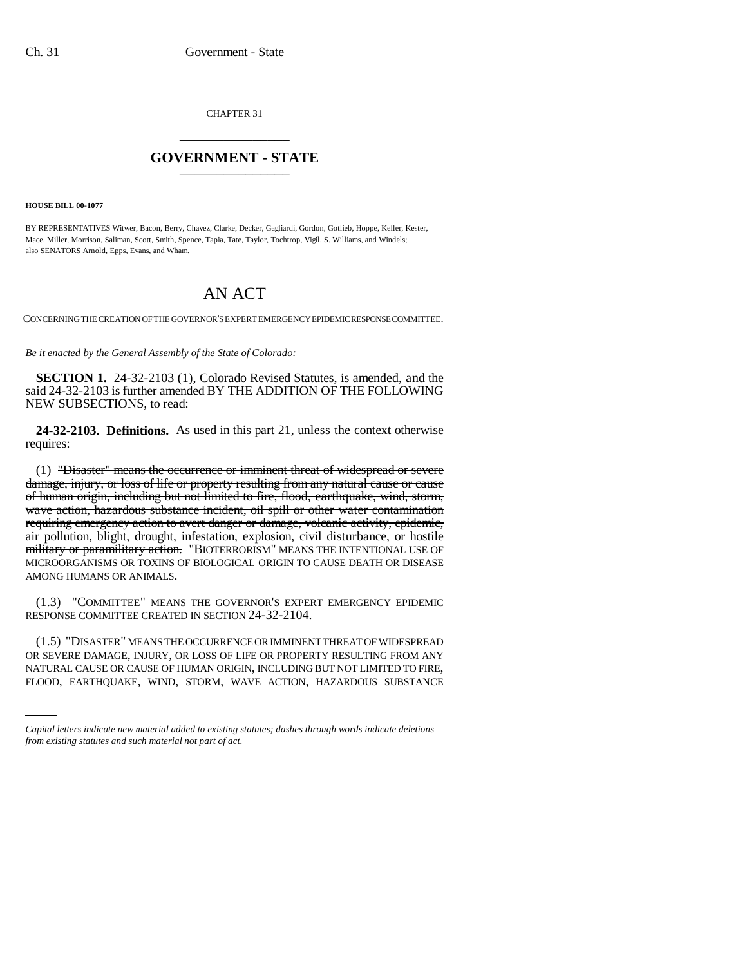CHAPTER 31 \_\_\_\_\_\_\_\_\_\_\_\_\_\_\_

## **GOVERNMENT - STATE** \_\_\_\_\_\_\_\_\_\_\_\_\_\_\_

**HOUSE BILL 00-1077** 

BY REPRESENTATIVES Witwer, Bacon, Berry, Chavez, Clarke, Decker, Gagliardi, Gordon, Gotlieb, Hoppe, Keller, Kester, Mace, Miller, Morrison, Saliman, Scott, Smith, Spence, Tapia, Tate, Taylor, Tochtrop, Vigil, S. Williams, and Windels; also SENATORS Arnold, Epps, Evans, and Wham.

## AN ACT

CONCERNING THE CREATION OF THE GOVERNOR'S EXPERT EMERGENCY EPIDEMIC RESPONSE COMMITTEE.

*Be it enacted by the General Assembly of the State of Colorado:*

**SECTION 1.** 24-32-2103 (1), Colorado Revised Statutes, is amended, and the said 24-32-2103 is further amended BY THE ADDITION OF THE FOLLOWING NEW SUBSECTIONS, to read:

**24-32-2103. Definitions.** As used in this part 21, unless the context otherwise requires:

(1) "Disaster" means the occurrence or imminent threat of widespread or severe damage, injury, or loss of life or property resulting from any natural cause or cause of human origin, including but not limited to fire, flood, earthquake, wind, storm, wave action, hazardous substance incident, oil spill or other water contamination requiring emergency action to avert danger or damage, volcanic activity, epidemic, air pollution, blight, drought, infestation, explosion, civil disturbance, or hostile military or paramilitary action. "BIOTERRORISM" MEANS THE INTENTIONAL USE OF MICROORGANISMS OR TOXINS OF BIOLOGICAL ORIGIN TO CAUSE DEATH OR DISEASE AMONG HUMANS OR ANIMALS.

(1.3) "COMMITTEE" MEANS THE GOVERNOR'S EXPERT EMERGENCY EPIDEMIC RESPONSE COMMITTEE CREATED IN SECTION 24-32-2104.

OR SEVERE DAMAGE, INJURY, OR LOSS OF LIFE OR PROPERTY RESULTING FROM ANY (1.5) "DISASTER" MEANS THE OCCURRENCE OR IMMINENT THREAT OF WIDESPREAD NATURAL CAUSE OR CAUSE OF HUMAN ORIGIN, INCLUDING BUT NOT LIMITED TO FIRE, FLOOD, EARTHQUAKE, WIND, STORM, WAVE ACTION, HAZARDOUS SUBSTANCE

*Capital letters indicate new material added to existing statutes; dashes through words indicate deletions from existing statutes and such material not part of act.*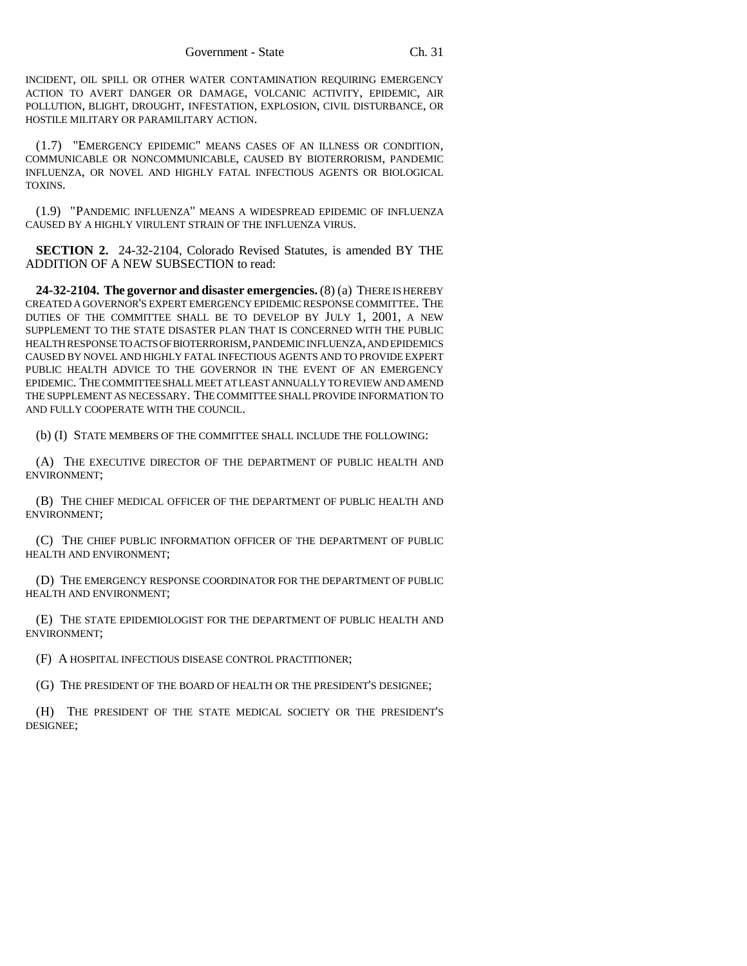INCIDENT, OIL SPILL OR OTHER WATER CONTAMINATION REQUIRING EMERGENCY ACTION TO AVERT DANGER OR DAMAGE, VOLCANIC ACTIVITY, EPIDEMIC, AIR POLLUTION, BLIGHT, DROUGHT, INFESTATION, EXPLOSION, CIVIL DISTURBANCE, OR HOSTILE MILITARY OR PARAMILITARY ACTION.

(1.7) "EMERGENCY EPIDEMIC" MEANS CASES OF AN ILLNESS OR CONDITION, COMMUNICABLE OR NONCOMMUNICABLE, CAUSED BY BIOTERRORISM, PANDEMIC INFLUENZA, OR NOVEL AND HIGHLY FATAL INFECTIOUS AGENTS OR BIOLOGICAL TOXINS.

(1.9) "PANDEMIC INFLUENZA" MEANS A WIDESPREAD EPIDEMIC OF INFLUENZA CAUSED BY A HIGHLY VIRULENT STRAIN OF THE INFLUENZA VIRUS.

**SECTION 2.** 24-32-2104, Colorado Revised Statutes, is amended BY THE ADDITION OF A NEW SUBSECTION to read:

**24-32-2104. The governor and disaster emergencies.** (8) (a) THERE IS HEREBY CREATED A GOVERNOR'S EXPERT EMERGENCY EPIDEMIC RESPONSE COMMITTEE. THE DUTIES OF THE COMMITTEE SHALL BE TO DEVELOP BY JULY 1, 2001, A NEW SUPPLEMENT TO THE STATE DISASTER PLAN THAT IS CONCERNED WITH THE PUBLIC HEALTH RESPONSE TO ACTS OF BIOTERRORISM, PANDEMIC INFLUENZA, AND EPIDEMICS CAUSED BY NOVEL AND HIGHLY FATAL INFECTIOUS AGENTS AND TO PROVIDE EXPERT PUBLIC HEALTH ADVICE TO THE GOVERNOR IN THE EVENT OF AN EMERGENCY EPIDEMIC. THE COMMITTEE SHALL MEET AT LEAST ANNUALLY TO REVIEW AND AMEND THE SUPPLEMENT AS NECESSARY. THE COMMITTEE SHALL PROVIDE INFORMATION TO AND FULLY COOPERATE WITH THE COUNCIL.

(b) (I) STATE MEMBERS OF THE COMMITTEE SHALL INCLUDE THE FOLLOWING:

(A) THE EXECUTIVE DIRECTOR OF THE DEPARTMENT OF PUBLIC HEALTH AND ENVIRONMENT;

(B) THE CHIEF MEDICAL OFFICER OF THE DEPARTMENT OF PUBLIC HEALTH AND ENVIRONMENT;

(C) THE CHIEF PUBLIC INFORMATION OFFICER OF THE DEPARTMENT OF PUBLIC HEALTH AND ENVIRONMENT;

(D) THE EMERGENCY RESPONSE COORDINATOR FOR THE DEPARTMENT OF PUBLIC HEALTH AND ENVIRONMENT;

(E) THE STATE EPIDEMIOLOGIST FOR THE DEPARTMENT OF PUBLIC HEALTH AND ENVIRONMENT;

(F) A HOSPITAL INFECTIOUS DISEASE CONTROL PRACTITIONER;

(G) THE PRESIDENT OF THE BOARD OF HEALTH OR THE PRESIDENT'S DESIGNEE;

(H) THE PRESIDENT OF THE STATE MEDICAL SOCIETY OR THE PRESIDENT'S DESIGNEE;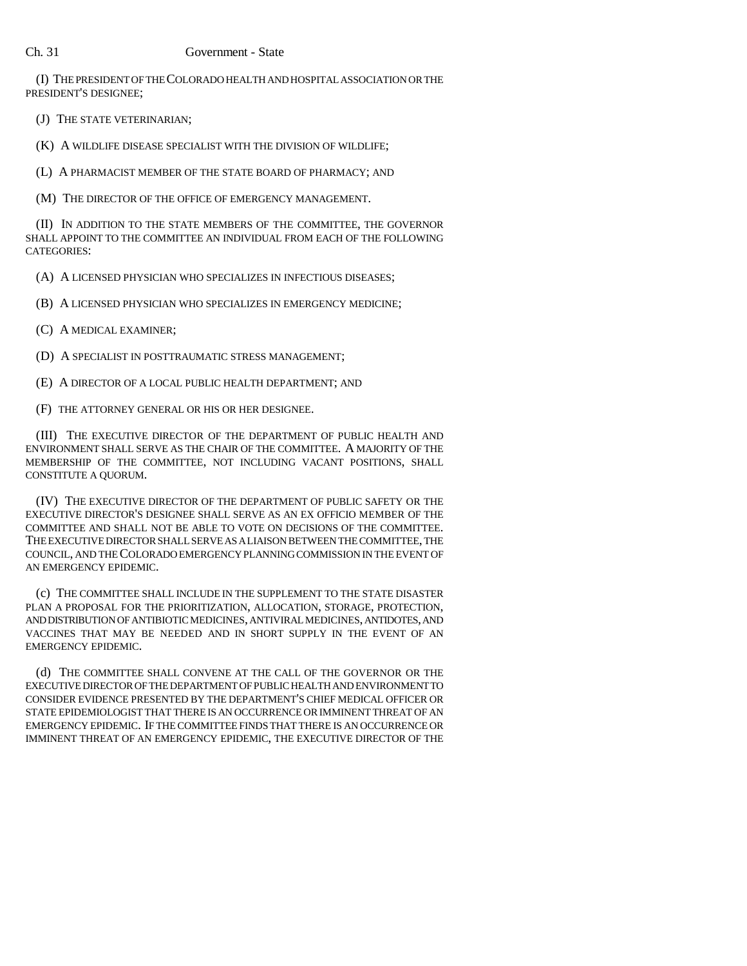(I) THE PRESIDENT OF THE COLORADO HEALTH AND HOSPITAL ASSOCIATION OR THE PRESIDENT'S DESIGNEE;

(J) THE STATE VETERINARIAN;

(K) A WILDLIFE DISEASE SPECIALIST WITH THE DIVISION OF WILDLIFE;

(L) A PHARMACIST MEMBER OF THE STATE BOARD OF PHARMACY; AND

(M) THE DIRECTOR OF THE OFFICE OF EMERGENCY MANAGEMENT.

(II) IN ADDITION TO THE STATE MEMBERS OF THE COMMITTEE, THE GOVERNOR SHALL APPOINT TO THE COMMITTEE AN INDIVIDUAL FROM EACH OF THE FOLLOWING CATEGORIES:

(A) A LICENSED PHYSICIAN WHO SPECIALIZES IN INFECTIOUS DISEASES;

(B) A LICENSED PHYSICIAN WHO SPECIALIZES IN EMERGENCY MEDICINE;

(C) A MEDICAL EXAMINER;

(D) A SPECIALIST IN POSTTRAUMATIC STRESS MANAGEMENT;

(E) A DIRECTOR OF A LOCAL PUBLIC HEALTH DEPARTMENT; AND

(F) THE ATTORNEY GENERAL OR HIS OR HER DESIGNEE.

(III) THE EXECUTIVE DIRECTOR OF THE DEPARTMENT OF PUBLIC HEALTH AND ENVIRONMENT SHALL SERVE AS THE CHAIR OF THE COMMITTEE. A MAJORITY OF THE MEMBERSHIP OF THE COMMITTEE, NOT INCLUDING VACANT POSITIONS, SHALL CONSTITUTE A QUORUM.

(IV) THE EXECUTIVE DIRECTOR OF THE DEPARTMENT OF PUBLIC SAFETY OR THE EXECUTIVE DIRECTOR'S DESIGNEE SHALL SERVE AS AN EX OFFICIO MEMBER OF THE COMMITTEE AND SHALL NOT BE ABLE TO VOTE ON DECISIONS OF THE COMMITTEE. THE EXECUTIVE DIRECTOR SHALL SERVE AS A LIAISON BETWEEN THE COMMITTEE, THE COUNCIL, AND THE COLORADO EMERGENCY PLANNING COMMISSION IN THE EVENT OF AN EMERGENCY EPIDEMIC.

(c) THE COMMITTEE SHALL INCLUDE IN THE SUPPLEMENT TO THE STATE DISASTER PLAN A PROPOSAL FOR THE PRIORITIZATION, ALLOCATION, STORAGE, PROTECTION, AND DISTRIBUTION OF ANTIBIOTIC MEDICINES, ANTIVIRAL MEDICINES, ANTIDOTES, AND VACCINES THAT MAY BE NEEDED AND IN SHORT SUPPLY IN THE EVENT OF AN EMERGENCY EPIDEMIC.

(d) THE COMMITTEE SHALL CONVENE AT THE CALL OF THE GOVERNOR OR THE EXECUTIVE DIRECTOR OF THE DEPARTMENT OF PUBLIC HEALTH AND ENVIRONMENT TO CONSIDER EVIDENCE PRESENTED BY THE DEPARTMENT'S CHIEF MEDICAL OFFICER OR STATE EPIDEMIOLOGIST THAT THERE IS AN OCCURRENCE OR IMMINENT THREAT OF AN EMERGENCY EPIDEMIC. IF THE COMMITTEE FINDS THAT THERE IS AN OCCURRENCE OR IMMINENT THREAT OF AN EMERGENCY EPIDEMIC, THE EXECUTIVE DIRECTOR OF THE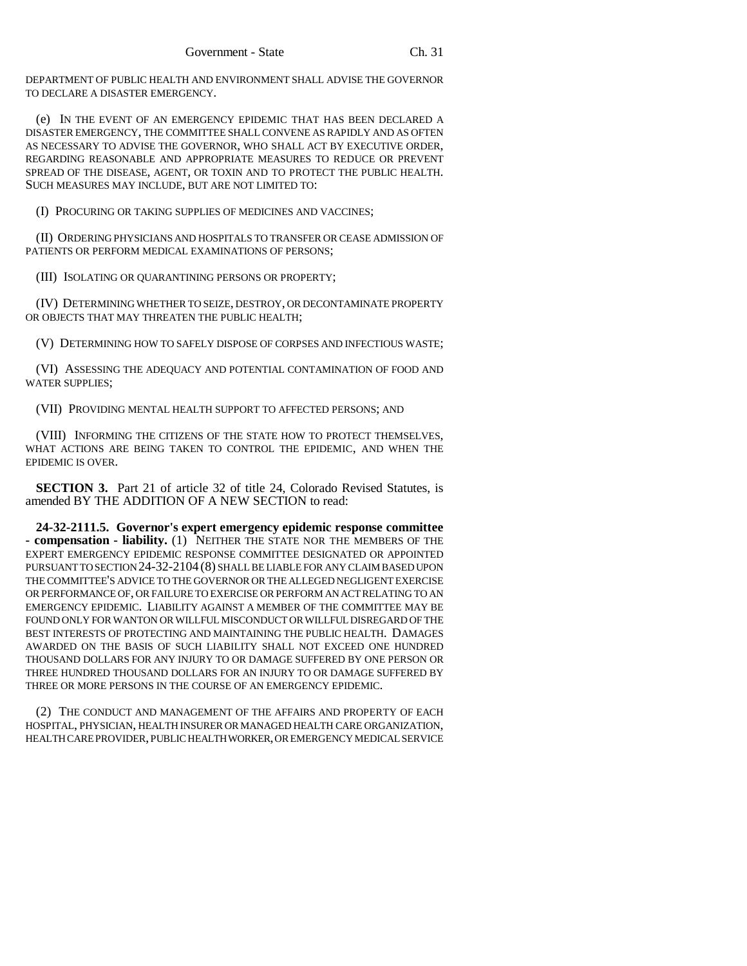DEPARTMENT OF PUBLIC HEALTH AND ENVIRONMENT SHALL ADVISE THE GOVERNOR TO DECLARE A DISASTER EMERGENCY.

(e) IN THE EVENT OF AN EMERGENCY EPIDEMIC THAT HAS BEEN DECLARED A DISASTER EMERGENCY, THE COMMITTEE SHALL CONVENE AS RAPIDLY AND AS OFTEN AS NECESSARY TO ADVISE THE GOVERNOR, WHO SHALL ACT BY EXECUTIVE ORDER, REGARDING REASONABLE AND APPROPRIATE MEASURES TO REDUCE OR PREVENT SPREAD OF THE DISEASE, AGENT, OR TOXIN AND TO PROTECT THE PUBLIC HEALTH. SUCH MEASURES MAY INCLUDE, BUT ARE NOT LIMITED TO:

(I) PROCURING OR TAKING SUPPLIES OF MEDICINES AND VACCINES;

(II) ORDERING PHYSICIANS AND HOSPITALS TO TRANSFER OR CEASE ADMISSION OF PATIENTS OR PERFORM MEDICAL EXAMINATIONS OF PERSONS;

(III) ISOLATING OR QUARANTINING PERSONS OR PROPERTY;

(IV) DETERMINING WHETHER TO SEIZE, DESTROY, OR DECONTAMINATE PROPERTY OR OBJECTS THAT MAY THREATEN THE PUBLIC HEALTH;

(V) DETERMINING HOW TO SAFELY DISPOSE OF CORPSES AND INFECTIOUS WASTE;

(VI) ASSESSING THE ADEQUACY AND POTENTIAL CONTAMINATION OF FOOD AND WATER SUPPLIES;

(VII) PROVIDING MENTAL HEALTH SUPPORT TO AFFECTED PERSONS; AND

(VIII) INFORMING THE CITIZENS OF THE STATE HOW TO PROTECT THEMSELVES, WHAT ACTIONS ARE BEING TAKEN TO CONTROL THE EPIDEMIC, AND WHEN THE EPIDEMIC IS OVER.

**SECTION 3.** Part 21 of article 32 of title 24, Colorado Revised Statutes, is amended BY THE ADDITION OF A NEW SECTION to read:

**24-32-2111.5. Governor's expert emergency epidemic response committee - compensation - liability.** (1) NEITHER THE STATE NOR THE MEMBERS OF THE EXPERT EMERGENCY EPIDEMIC RESPONSE COMMITTEE DESIGNATED OR APPOINTED PURSUANT TO SECTION 24-32-2104 (8) SHALL BE LIABLE FOR ANY CLAIM BASED UPON THE COMMITTEE'S ADVICE TO THE GOVERNOR OR THE ALLEGED NEGLIGENT EXERCISE OR PERFORMANCE OF, OR FAILURE TO EXERCISE OR PERFORM AN ACT RELATING TO AN EMERGENCY EPIDEMIC. LIABILITY AGAINST A MEMBER OF THE COMMITTEE MAY BE FOUND ONLY FOR WANTON OR WILLFUL MISCONDUCT OR WILLFUL DISREGARD OF THE BEST INTERESTS OF PROTECTING AND MAINTAINING THE PUBLIC HEALTH. DAMAGES AWARDED ON THE BASIS OF SUCH LIABILITY SHALL NOT EXCEED ONE HUNDRED THOUSAND DOLLARS FOR ANY INJURY TO OR DAMAGE SUFFERED BY ONE PERSON OR THREE HUNDRED THOUSAND DOLLARS FOR AN INJURY TO OR DAMAGE SUFFERED BY THREE OR MORE PERSONS IN THE COURSE OF AN EMERGENCY EPIDEMIC.

(2) THE CONDUCT AND MANAGEMENT OF THE AFFAIRS AND PROPERTY OF EACH HOSPITAL, PHYSICIAN, HEALTH INSURER OR MANAGED HEALTH CARE ORGANIZATION, HEALTH CARE PROVIDER, PUBLIC HEALTH WORKER, OR EMERGENCY MEDICAL SERVICE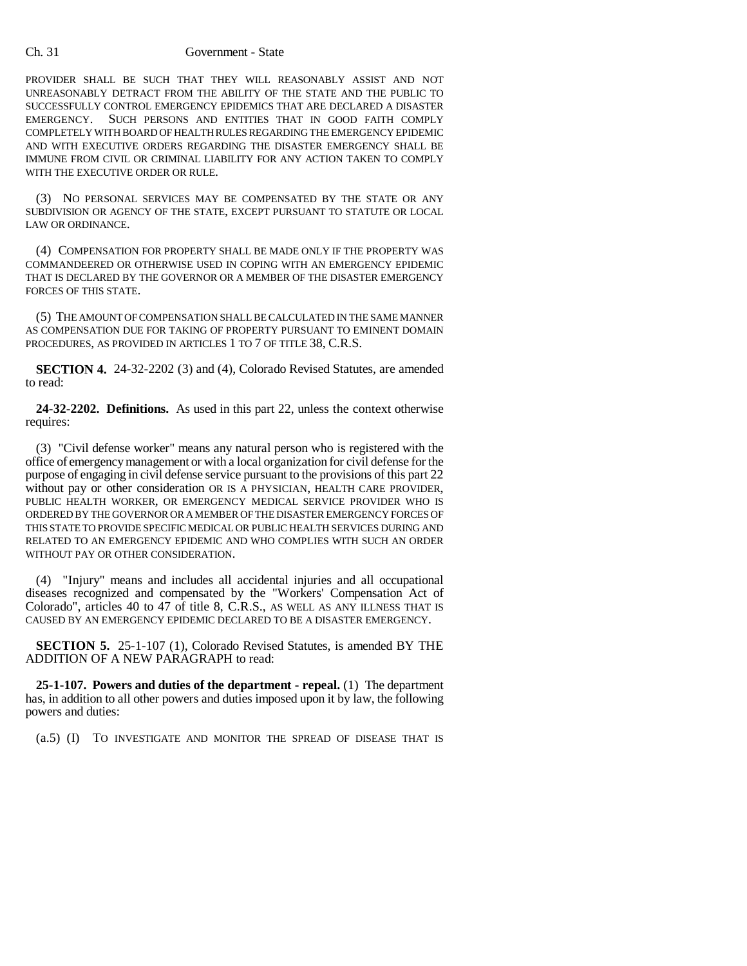## Ch. 31 Government - State

PROVIDER SHALL BE SUCH THAT THEY WILL REASONABLY ASSIST AND NOT UNREASONABLY DETRACT FROM THE ABILITY OF THE STATE AND THE PUBLIC TO SUCCESSFULLY CONTROL EMERGENCY EPIDEMICS THAT ARE DECLARED A DISASTER EMERGENCY. SUCH PERSONS AND ENTITIES THAT IN GOOD FAITH COMPLY COMPLETELY WITH BOARD OF HEALTH RULES REGARDING THE EMERGENCY EPIDEMIC AND WITH EXECUTIVE ORDERS REGARDING THE DISASTER EMERGENCY SHALL BE IMMUNE FROM CIVIL OR CRIMINAL LIABILITY FOR ANY ACTION TAKEN TO COMPLY WITH THE EXECUTIVE ORDER OR RULE.

(3) NO PERSONAL SERVICES MAY BE COMPENSATED BY THE STATE OR ANY SUBDIVISION OR AGENCY OF THE STATE, EXCEPT PURSUANT TO STATUTE OR LOCAL LAW OR ORDINANCE.

(4) COMPENSATION FOR PROPERTY SHALL BE MADE ONLY IF THE PROPERTY WAS COMMANDEERED OR OTHERWISE USED IN COPING WITH AN EMERGENCY EPIDEMIC THAT IS DECLARED BY THE GOVERNOR OR A MEMBER OF THE DISASTER EMERGENCY FORCES OF THIS STATE.

(5) THE AMOUNT OF COMPENSATION SHALL BE CALCULATED IN THE SAME MANNER AS COMPENSATION DUE FOR TAKING OF PROPERTY PURSUANT TO EMINENT DOMAIN PROCEDURES, AS PROVIDED IN ARTICLES 1 TO 7 OF TITLE 38, C.R.S.

**SECTION 4.** 24-32-2202 (3) and (4), Colorado Revised Statutes, are amended to read:

**24-32-2202. Definitions.** As used in this part 22, unless the context otherwise requires:

(3) "Civil defense worker" means any natural person who is registered with the office of emergency management or with a local organization for civil defense for the purpose of engaging in civil defense service pursuant to the provisions of this part 22 without pay or other consideration OR IS A PHYSICIAN, HEALTH CARE PROVIDER, PUBLIC HEALTH WORKER, OR EMERGENCY MEDICAL SERVICE PROVIDER WHO IS ORDERED BY THE GOVERNOR OR A MEMBER OF THE DISASTER EMERGENCY FORCES OF THIS STATE TO PROVIDE SPECIFIC MEDICAL OR PUBLIC HEALTH SERVICES DURING AND RELATED TO AN EMERGENCY EPIDEMIC AND WHO COMPLIES WITH SUCH AN ORDER WITHOUT PAY OR OTHER CONSIDERATION.

(4) "Injury" means and includes all accidental injuries and all occupational diseases recognized and compensated by the "Workers' Compensation Act of Colorado", articles 40 to 47 of title 8, C.R.S., AS WELL AS ANY ILLNESS THAT IS CAUSED BY AN EMERGENCY EPIDEMIC DECLARED TO BE A DISASTER EMERGENCY.

**SECTION 5.** 25-1-107 (1), Colorado Revised Statutes, is amended BY THE ADDITION OF A NEW PARAGRAPH to read:

**25-1-107. Powers and duties of the department - repeal.** (1) The department has, in addition to all other powers and duties imposed upon it by law, the following powers and duties:

(a.5) (I) TO INVESTIGATE AND MONITOR THE SPREAD OF DISEASE THAT IS